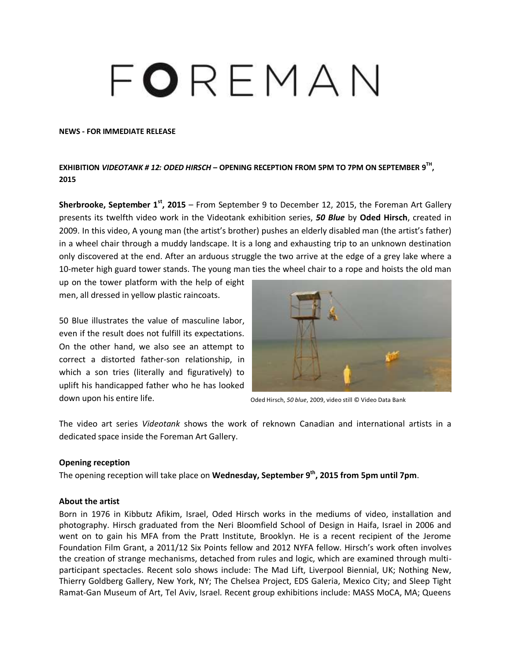# FOREMAN

#### **NEWS - FOR IMMEDIATE RELEASE**

# **EXHIBITION** *VIDEOTANK # 12: ODED HIRSCH* **– OPENING RECEPTION FROM 5PM TO 7PM ON SEPTEMBER 9 TH , 2015**

**Sherbrooke, September 1st , 2015** – From September 9 to December 12, 2015, the Foreman Art Gallery presents its twelfth video work in the Videotank exhibition series, *50 Blue* by **Oded Hirsch**, created in 2009. In this video, A young man (the artist's brother) pushes an elderly disabled man (the artist's father) in a wheel chair through a muddy landscape. It is a long and exhausting trip to an unknown destination only discovered at the end. After an arduous struggle the two arrive at the edge of a grey lake where a 10-meter high guard tower stands. The young man ties the wheel chair to a rope and hoists the old man

up on the tower platform with the help of eight men, all dressed in yellow plastic raincoats.

50 Blue illustrates the value of masculine labor, even if the result does not fulfill its expectations. On the other hand, we also see an attempt to correct a distorted father-son relationship, in which a son tries (literally and figuratively) to uplift his handicapped father who he has looked down upon his entire life.



Oded Hirsch, *50 blue*, 2009, video still © Video Data Bank

The video art series *Videotank* shows the work of reknown Canadian and international artists in a dedicated space inside the Foreman Art Gallery.

#### **Opening reception**

The opening reception will take place on **Wednesday, September 9 th, 2015 from 5pm until 7pm**.

### **About the artist**

Born in 1976 in Kibbutz Afikim, Israel, Oded Hirsch works in the mediums of video, installation and photography. Hirsch graduated from the Neri Bloomfield School of Design in Haifa, Israel in 2006 and went on to gain his MFA from the Pratt Institute, Brooklyn. He is a recent recipient of the Jerome Foundation Film Grant, a 2011/12 Six Points fellow and 2012 NYFA fellow. Hirsch's work often involves the creation of strange mechanisms, detached from rules and logic, which are examined through multiparticipant spectacles. Recent solo shows include: The Mad Lift, Liverpool Biennial, UK; Nothing New, Thierry Goldberg Gallery, New York, NY; The Chelsea Project, EDS Galeria, Mexico City; and Sleep Tight Ramat-Gan Museum of Art, Tel Aviv, Israel. Recent group exhibitions include: MASS MoCA, MA; Queens